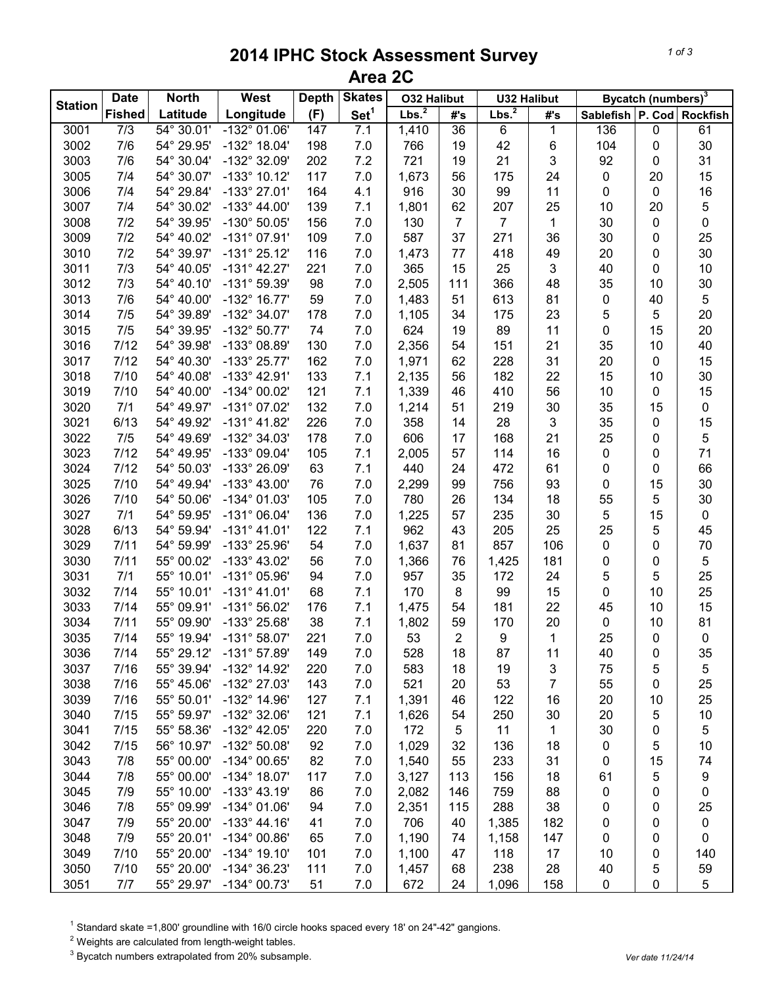## **2014 IPHC Stock Assessment Survey Area 2C**

|                | <b>Date</b><br><b>North</b> |            | West                  | <b>Depth</b> | <b>Skates</b>    | <b>O32 Halibut</b> |                 | <b>U32 Halibut</b> |                | Bycatch (numbers) <sup>3</sup> |             |             |
|----------------|-----------------------------|------------|-----------------------|--------------|------------------|--------------------|-----------------|--------------------|----------------|--------------------------------|-------------|-------------|
| <b>Station</b> | <b>Fished</b>               | Latitude   | Longitude             | (F)          | Set <sup>1</sup> | Lbs. <sup>2</sup>  | #'s             | Lbs. <sup>2</sup>  | #'s            | Sablefish P. Cod Rockfish      |             |             |
| 3001           | 7/3                         | 54° 30.01' | $-132^{\circ}$ 01.06' | 147          | 7.1              | 1,410              | $\overline{36}$ | 6                  | 1              | 136                            | $\pmb{0}$   | 61          |
| 3002           | 7/6                         | 54° 29.95' | $-132^{\circ}$ 18.04' | 198          | 7.0              | 766                | 19              | 42                 | $\,6$          | 104                            | 0           | 30          |
| 3003           | 7/6                         | 54° 30.04' | -132° 32.09'          | 202          | 7.2              | 721                | 19              | 21                 | 3              | 92                             | 0           | 31          |
| 3005           | 7/4                         | 54° 30.07' | $-133^{\circ}$ 10.12' | 117          | 7.0              | 1,673              | 56              | 175                | 24             | $\pmb{0}$                      | 20          | 15          |
| 3006           | 7/4                         | 54° 29.84' | $-133^{\circ}$ 27.01' | 164          | 4.1              | 916                | 30              | 99                 | 11             | $\pmb{0}$                      | $\pmb{0}$   | 16          |
| 3007           | 7/4                         | 54° 30.02' | $-133^{\circ}$ 44.00' | 139          | 7.1              | 1,801              | 62              | 207                | 25             | 10                             | 20          | 5           |
| 3008           | 7/2                         | 54° 39.95' | $-130^{\circ} 50.05'$ | 156          | 7.0              | 130                | $\overline{7}$  | $\overline{7}$     | 1              | 30                             | 0           | 0           |
| 3009           | 7/2                         | 54° 40.02' | $-131^{\circ}$ 07.91' | 109          | 7.0              | 587                | 37              | 271                | 36             | 30                             | 0           | 25          |
| 3010           | 7/2                         | 54° 39.97' | $-131^{\circ} 25.12'$ | 116          | 7.0              | 1,473              | 77              | 418                | 49             | 20                             | 0           | 30          |
| 3011           | 7/3                         | 54° 40.05' | $-131^{\circ}$ 42.27' | 221          | 7.0              | 365                | 15              | 25                 | 3              | 40                             | 0           | 10          |
| 3012           | 7/3                         | 54° 40.10' | $-131^{\circ}59.39'$  | 98           | 7.0              | 2,505              | 111             | 366                | 48             | 35                             | 10          | 30          |
| 3013           | 7/6                         | 54° 40.00' | $-132^{\circ}$ 16.77' | 59           | 7.0              | 1,483              | 51              | 613                | 81             | $\pmb{0}$                      | 40          | 5           |
| 3014           | 7/5                         | 54° 39.89' | $-132^{\circ}$ 34.07' | 178          | 7.0              | 1,105              | 34              | 175                | 23             | 5                              | 5           | 20          |
| 3015           | 7/5                         | 54° 39.95' | $-132^{\circ}50.77'$  | 74           | 7.0              | 624                | 19              | 89                 | 11             | 0                              | 15          | 20          |
| 3016           | 7/12                        | 54° 39.98' | -133° 08.89'          | 130          | 7.0              | 2,356              | 54              | 151                | 21             | 35                             | 10          | 40          |
| 3017           | 7/12                        | 54° 40.30' | $-133^{\circ} 25.77'$ | 162          | 7.0              | 1,971              | 62              | 228                | 31             | 20                             | 0           | 15          |
| 3018           | 7/10                        | 54° 40.08' | $-133^{\circ}$ 42.91' | 133          | 7.1              | 2,135              | 56              | 182                | 22             | 15                             | 10          | 30          |
| 3019           | 7/10                        | 54° 40.00' | -134° 00.02'          | 121          | 7.1              | 1,339              | 46              | 410                | 56             | 10                             | $\mathbf 0$ | 15          |
| 3020           | 7/1                         | 54° 49.97' | $-131^{\circ}$ 07.02' | 132          | 7.0              | 1,214              | 51              | 219                | 30             | 35                             | 15          | $\mathbf 0$ |
| 3021           | 6/13                        | 54° 49.92' | $-131^{\circ}$ 41.82' | 226          | 7.0              | 358                | 14              | 28                 | 3              | 35                             | $\pmb{0}$   | 15          |
| 3022           | 7/5                         | 54° 49.69' | -132° 34.03'          | 178          | 7.0              | 606                | 17              | 168                | 21             | 25                             | 0           | 5           |
| 3023           | 7/12                        | 54° 49.95' | -133° 09.04'          | 105          | 7.1              | 2,005              | 57              | 114                | 16             | $\pmb{0}$                      | 0           | 71          |
| 3024           | 7/12                        | 54° 50.03' | -133° 26.09'          | 63           | 7.1              | 440                | 24              | 472                | 61             | $\mathbf 0$                    | 0           | 66          |
| 3025           | 7/10                        | 54° 49.94' | $-133^{\circ}$ 43.00' | 76           | 7.0              | 2,299              | 99              | 756                | 93             | $\mathbf 0$                    | 15          | 30          |
| 3026           | 7/10                        | 54° 50.06' | -134° 01.03'          | 105          | 7.0              | 780                | 26              | 134                | 18             | 55                             | 5           | $30\,$      |
| 3027           | 7/1                         | 54° 59.95' | $-131^{\circ}$ 06.04' | 136          | 7.0              | 1,225              | 57              | 235                | 30             | 5                              | 15          | $\pmb{0}$   |
| 3028           | 6/13                        | 54° 59.94' | $-131^{\circ}$ 41.01' | 122          | 7.1              | 962                | 43              | 205                | 25             | 25                             | 5           | 45          |
| 3029           | 7/11                        | 54° 59.99' | -133° 25.96'          | 54           | 7.0              | 1,637              | 81              | 857                | 106            | $\mathbf 0$                    | 0           | $70\,$      |
| 3030           | 7/11                        | 55° 00.02' | $-133^{\circ}$ 43.02' | 56           | 7.0              | 1,366              | 76              | 1,425              | 181            | 0                              | 0           | 5           |
| 3031           | 7/1                         | 55° 10.01' | $-131^{\circ}$ 05.96' | 94           | 7.0              | 957                | 35              | 172                | 24             | 5                              | 5           | 25          |
| 3032           | 7/14                        | 55° 10.01' | $-131^{\circ}$ 41.01' | 68           | 7.1              | 170                | 8               | 99                 | 15             | 0                              | 10          | 25          |
| 3033           | 7/14                        | 55° 09.91' | -131° 56.02'          | 176          | 7.1              | 1,475              | 54              | 181                | 22             | 45                             | 10          | 15          |
| 3034           | 7/11                        | 55° 09.90' | -133° 25.68'          | 38           | 7.1              | 1,802              | 59              | 170                | 20             | $\pmb{0}$                      | 10          | 81          |
| 3035           | 7/14                        | 55° 19.94' | $-131^{\circ}58.07'$  | 221          | 7.0              | 53                 | $\overline{2}$  | $\boldsymbol{9}$   | 1              | 25                             | 0           | 0           |
| 3036           | 7/14                        | 55° 29.12' | -131° 57.89'          | 149          | 7.0              | 528                | 18              | 87                 | 11             | 40                             | 0           | 35          |
| 3037           | 7/16                        | 55° 39.94' | -132° 14.92'          | 220          | 7.0              | 583                | 18              | 19                 | 3              | 75                             | 5           | 5           |
| 3038           | 7/16                        | 55° 45.06' | -132° 27.03'          | 143          | 7.0              | 521                | 20              | 53                 | $\overline{7}$ | 55                             | 0           | 25          |
| 3039           | 7/16                        | 55° 50.01' | -132° 14.96'          | 127          | 7.1              | 1,391              | 46              | 122                | 16             | 20                             | 10          | 25          |
| 3040           | 7/15                        | 55° 59.97' | -132° 32.06'          | 121          | 7.1              | 1,626              | 54              | 250                | 30             | 20                             | 5           | 10          |
| 3041           | 7/15                        | 55° 58.36' | $-132^{\circ}$ 42.05' | 220          | 7.0              | 172                | 5               | 11                 | 1              | 30                             | 0           | 5           |
| 3042           | 7/15                        | 56° 10.97' | -132° 50.08'          | 92           | 7.0              | 1,029              | 32              | 136                | 18             | 0                              | 5           | 10          |
| 3043           | 7/8                         | 55° 00.00' | $-134^{\circ}$ 00.65' | 82           | 7.0              | 1,540              | 55              | 233                | 31             | 0                              | 15          | 74          |
| 3044           | 7/8                         | 55° 00.00' | $-134^{\circ}$ 18.07' | 117          | 7.0              | 3,127              | 113             | 156                | 18             | 61                             | 5           | 9           |
| 3045           | 7/9                         | 55° 10.00' | $-133^{\circ}$ 43.19' | 86           | 7.0              | 2,082              | 146             | 759                | 88             | 0                              | 0           | 0           |
| 3046           | 7/8                         | 55° 09.99' | $-134^{\circ}$ 01.06' | 94           | 7.0              | 2,351              | 115             | 288                | 38             | 0                              | 0           | 25          |
| 3047           | 7/9                         | 55° 20.00' | $-133^{\circ}$ 44.16' | 41           | 7.0              | 706                | 40              | 1,385              | 182            | 0                              | 0           | 0           |
| 3048           | 7/9                         | 55° 20.01' | $-134^{\circ}$ 00.86' | 65           | 7.0              | 1,190              | 74              | 1,158              | 147            | 0                              | 0           | 0           |
| 3049           | 7/10                        | 55° 20.00' | $-134^{\circ}$ 19.10' | 101          | 7.0              | 1,100              | 47              | 118                | 17             | 10                             | 0           | 140         |
| 3050           | 7/10                        | 55° 20.00' | -134° 36.23'          | 111          | 7.0              | 1,457              | 68              | 238                | 28             | 40                             | 5           | 59          |
| 3051           | 7/7                         | 55° 29.97' | -134° 00.73'          | 51           | 7.0              | 672                | 24              | 1,096              | 158            | 0                              | 0           | 5           |
|                |                             |            |                       |              |                  |                    |                 |                    |                |                                |             |             |

<sup>1</sup> Standard skate =1,800' groundline with 16/0 circle hooks spaced every 18' on 24"-42" gangions.

Weights are calculated from length-weight tables.

<sup>3</sup> Bycatch numbers extrapolated from 20% subsample. *Vertain the straps of the contract of the straps of the date 11/24/14*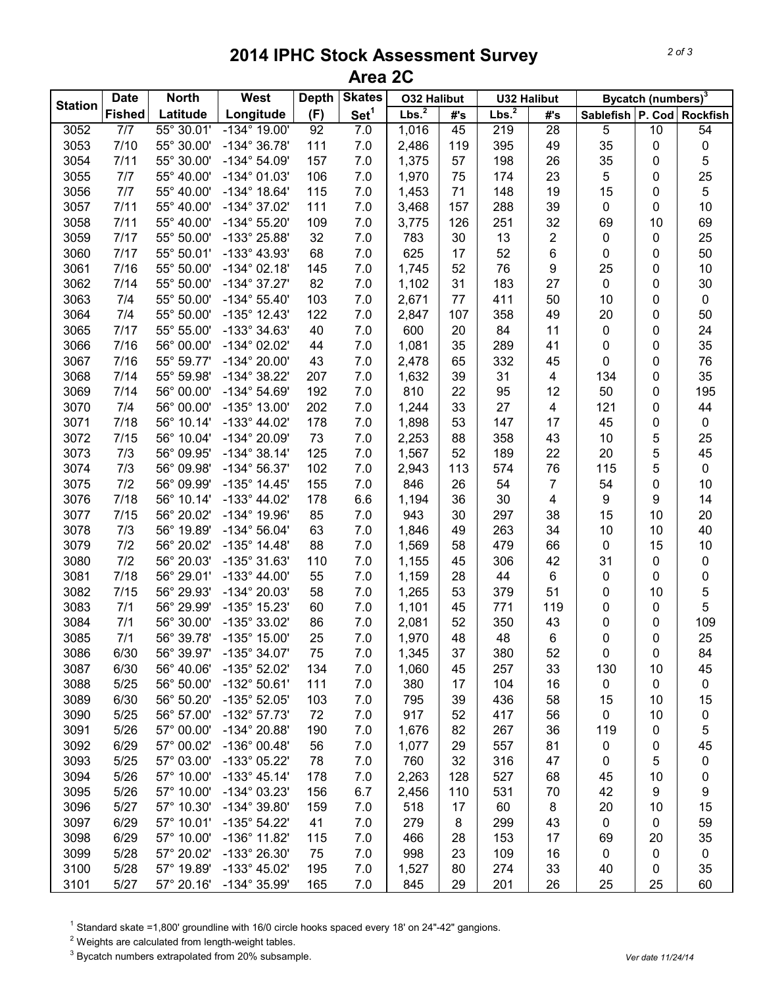## **2014 IPHC Stock Assessment Survey Area 2C**

|                | <b>Date</b>   | <b>North</b>        | West                  | <b>Depth</b> | <b>Skates</b>    | <b>O32 Halibut</b> |     | <b>U32 Halibut</b> |                         |                    | <b>Bycatch (numbers)</b> <sup>3</sup> |                 |
|----------------|---------------|---------------------|-----------------------|--------------|------------------|--------------------|-----|--------------------|-------------------------|--------------------|---------------------------------------|-----------------|
| <b>Station</b> | <b>Fished</b> | Latitude            | Longitude             | (F)          | Set <sup>1</sup> | Lbs. <sup>2</sup>  | #'s | Lbs. <sup>2</sup>  | #'s                     | Sablefish   P. Cod |                                       | <b>Rockfish</b> |
| 3052           | 7/7           | $55^{\circ}$ 30.01' | $-134^{\circ}$ 19.00' | 92           | 7.0              | 1,016              | 45  | 219                | $\overline{28}$         | 5                  | $\overline{10}$                       | 54              |
| 3053           | 7/10          | 55° 30.00'          | $-134^{\circ}36.78'$  | 111          | 7.0              | 2,486              | 119 | 395                | 49                      | 35                 | 0                                     | $\pmb{0}$       |
| 3054           | 7/11          | 55° 30.00'          | $-134^{\circ} 54.09'$ | 157          | 7.0              | 1,375              | 57  | 198                | 26                      | 35                 | 0                                     | 5               |
| 3055           | 7/7           | 55° 40.00'          | $-134^{\circ}$ 01.03' | 106          | 7.0              | 1,970              | 75  | 174                | 23                      | $\sqrt{5}$         | 0                                     | 25              |
| 3056           | 7/7           | 55° 40.00'          | $-134^{\circ}$ 18.64' | 115          | 7.0              | 1,453              | 71  | 148                | 19                      | 15                 | 0                                     | $\mathbf 5$     |
| 3057           | 7/11          | 55° 40.00'          | $-134^{\circ}$ 37.02' | 111          | 7.0              | 3,468              | 157 | 288                | 39                      | $\mathbf 0$        | 0                                     | $10$            |
| 3058           | 7/11          | 55° 40.00'          | $-134^{\circ} 55.20'$ | 109          | 7.0              | 3,775              | 126 | 251                | 32                      | 69                 | 10                                    | 69              |
| 3059           | 7/17          | 55° 50.00'          | -133° 25.88'          | 32           | 7.0              | 783                | 30  | 13                 | $\overline{c}$          | $\pmb{0}$          | 0                                     | 25              |
| 3060           | 7/17          | 55° 50.01'          | -133° 43.93'          | 68           | 7.0              | 625                | 17  | 52                 | 6                       | $\pmb{0}$          | 0                                     | 50              |
| 3061           | 7/16          | 55° 50.00'          | $-134^{\circ}$ 02.18' | 145          | 7.0              | 1,745              | 52  | 76                 | 9                       | 25                 | 0                                     | 10              |
| 3062           | 7/14          | 55° 50.00'          | $-134^{\circ}37.27'$  | 82           | 7.0              | 1,102              | 31  | 183                | 27                      | $\mathbf 0$        | 0                                     | 30              |
| 3063           | 7/4           | 55° 50.00'          | $-134^{\circ} 55.40'$ | 103          | 7.0              | 2,671              | 77  | 411                | 50                      | 10                 | 0                                     | $\pmb{0}$       |
| 3064           | 7/4           | 55° 50.00'          | $-135^{\circ}$ 12.43' | 122          | 7.0              | 2,847              | 107 | 358                | 49                      | 20                 | 0                                     | 50              |
| 3065           | 7/17          | 55° 55.00'          | -133° 34.63'          | 40           | 7.0              | 600                | 20  | 84                 | 11                      | $\pmb{0}$          | 0                                     | 24              |
| 3066           | 7/16          | 56° 00.00'          | $-134^{\circ}$ 02.02' | 44           | 7.0              | 1,081              | 35  | 289                | 41                      | 0                  | 0                                     | 35              |
| 3067           | 7/16          | 55° 59.77'          | -134° 20.00'          | 43           | 7.0              | 2,478              | 65  | 332                | 45                      | $\mathbf 0$        | 0                                     | 76              |
| 3068           | 7/14          | 55° 59.98'          | -134° 38.22'          | 207          | 7.0              | 1,632              | 39  | 31                 | 4                       | 134                | 0                                     | 35              |
| 3069           | 7/14          | 56° 00.00'          | $-134^{\circ} 54.69'$ | 192          | 7.0              | 810                | 22  | 95                 | 12                      | 50                 | 0                                     | 195             |
| 3070           | 7/4           | 56° 00.00'          | $-135^{\circ}$ 13.00' | 202          | 7.0              | 1,244              | 33  | 27                 | $\overline{\mathbf{4}}$ | 121                | 0                                     | 44              |
| 3071           | 7/18          | 56° 10.14'          | $-133^{\circ}$ 44.02' | 178          | 7.0              | 1,898              | 53  | 147                | 17                      | 45                 | 0                                     | $\pmb{0}$       |
| 3072           | 7/15          | 56° 10.04'          | -134° 20.09'          | 73           | $7.0$            | 2,253              | 88  | 358                | 43                      | 10                 | 5                                     | 25              |
| 3073           | 7/3           | 56° 09.95'          | $-134^{\circ}38.14'$  | 125          | 7.0              | 1,567              | 52  | 189                | 22                      | 20                 | 5                                     | 45              |
| 3074           | 7/3           | 56° 09.98'          | $-134^{\circ}56.37'$  | 102          | 7.0              | 2,943              | 113 | 574                | 76                      | 115                | 5                                     | $\pmb{0}$       |
| 3075           | 7/2           | 56° 09.99'          | $-135^{\circ}$ 14.45' | 155          | 7.0              | 846                | 26  | 54                 | $\overline{7}$          | 54                 | 0                                     | $10$            |
| 3076           | 7/18          | 56° 10.14'          | $-133^{\circ}$ 44.02' | 178          | 6.6              | 1,194              | 36  | 30                 | $\overline{\mathbf{4}}$ | 9                  | 9                                     | 14              |
| 3077           | 7/15          | 56° 20.02'          | -134° 19.96'          | 85           | 7.0              | 943                | 30  | 297                | 38                      | 15                 | 10                                    | 20              |
| 3078           | 7/3           | 56° 19.89'          | $-134^{\circ} 56.04'$ | 63           | 7.0              | 1,846              | 49  | 263                | 34                      | 10                 | 10                                    | 40              |
| 3079           | 7/2           | 56° 20.02'          | $-135^{\circ}$ 14.48' | 88           | 7.0              | 1,569              | 58  | 479                | 66                      | $\pmb{0}$          | 15                                    | 10              |
| 3080           | 7/2           | 56° 20.03'          | $-135^{\circ}$ 31.63' | 110          | 7.0              | 1,155              | 45  | 306                | 42                      | 31                 | 0                                     | $\pmb{0}$       |
| 3081           | 7/18          | 56° 29.01'          | $-133^{\circ}$ 44.00' | 55           | 7.0              | 1,159              | 28  | 44                 | $\,6$                   | $\pmb{0}$          | 0                                     | 0               |
| 3082           | 7/15          | 56° 29.93'          | -134° 20.03'          | 58           | 7.0              | 1,265              | 53  | 379                | 51                      | $\pmb{0}$          | 10                                    | 5               |
| 3083           | 7/1           | 56° 29.99'          | -135° 15.23'          | 60           | 7.0              | 1,101              | 45  | 771                | 119                     | 0                  | 0                                     | 5               |
| 3084           | 7/1           | 56° 30.00'          | -135° 33.02'          | 86           | 7.0              | 2,081              | 52  | 350                | 43                      | 0                  | 0                                     | 109             |
| 3085           | 7/1           | 56° 39.78'          | $-135^{\circ}$ 15.00' | 25           | 7.0              | 1,970              | 48  | 48                 | 6                       | 0                  | 0                                     | 25              |
| 3086           | 6/30          | 56° 39.97'          | $-135^{\circ}$ 34.07' | 75           | 7.0              | 1,345              | 37  | 380                | 52                      | 0                  | 0                                     | 84              |
| 3087           | 6/30          | 56° 40.06'          | $-135^{\circ}$ 52.02' | 134          | 7.0              | 1,060              | 45  | 257                | 33                      | 130                | 10                                    | 45              |
| 3088           | 5/25          | 56° 50.00'          | $-132^{\circ}50.61'$  | 111          | 7.0              | 380                | 17  | 104                | 16                      | 0                  | 0                                     | $\pmb{0}$       |
| 3089           | 6/30          | 56° 50.20'          | $-135^{\circ}$ 52.05' | 103          | 7.0              | 795                | 39  | 436                | 58                      | 15                 | 10                                    | 15              |
| 3090           | 5/25          | 56° 57.00'          | $-132^{\circ}57.73'$  | 72           | 7.0              | 917                | 52  | 417                | 56                      | 0                  | 10                                    | 0               |
| 3091           | 5/26          | 57° 00.00'          | -134° 20.88'          | 190          | 7.0              | 1,676              | 82  | 267                | 36                      | 119                | 0                                     | 5               |
| 3092           | 6/29          | 57° 00.02'          | -136° 00.48'          | 56           | 7.0              | 1,077              | 29  | 557                | 81                      | 0                  | 0                                     | 45              |
| 3093           | 5/25          | 57° 03.00'          | -133° 05.22'          | 78           | 7.0              | 760                | 32  | 316                | 47                      | 0                  | 5                                     | 0               |
| 3094           | 5/26          | 57° 10.00'          | $-133^{\circ}$ 45.14' | 178          | 7.0              | 2,263              | 128 | 527                | 68                      | 45                 | 10                                    | 0               |
| 3095           | 5/26          | 57° 10.00'          | $-134^{\circ}$ 03.23' | 156          | 6.7              | 2,456              | 110 | 531                | 70                      | 42                 | 9                                     | 9               |
| 3096           | 5/27          | 57° 10.30'          | -134° 39.80'          | 159          | 7.0              | 518                | 17  | 60                 | 8                       | 20                 | 10                                    | 15              |
| 3097           | 6/29          | 57° 10.01'          | $-135^{\circ}$ 54.22' | 41           | 7.0              | 279                | 8   | 299                | 43                      | 0                  | 0                                     | 59              |
| 3098           | 6/29          | 57° 10.00'          | $-136^{\circ}$ 11.82' | 115          | 7.0              | 466                | 28  | 153                | 17                      | 69                 | 20                                    | 35              |
| 3099           | 5/28          | 57° 20.02'          | -133° 26.30'          | 75           | 7.0              | 998                | 23  | 109                | 16                      | 0                  | 0                                     | 0               |
| 3100           | 5/28          | 57° 19.89'          | $-133^{\circ}$ 45.02' | 195          | 7.0              | 1,527              | 80  | 274                | 33                      | 40                 | 0                                     | 35              |
| 3101           | 5/27          | 57° 20.16'          | -134° 35.99'          | 165          | 7.0              | 845                | 29  | 201                | 26                      | 25                 | 25                                    | 60              |

<sup>1</sup> Standard skate =1,800' groundline with 16/0 circle hooks spaced every 18' on 24"-42" gangions.

Weights are calculated from length-weight tables.

<sup>3</sup> Bycatch numbers extrapolated from 20% subsample. *Vertain the straps of the contract of the straps of the date 11/24/14*